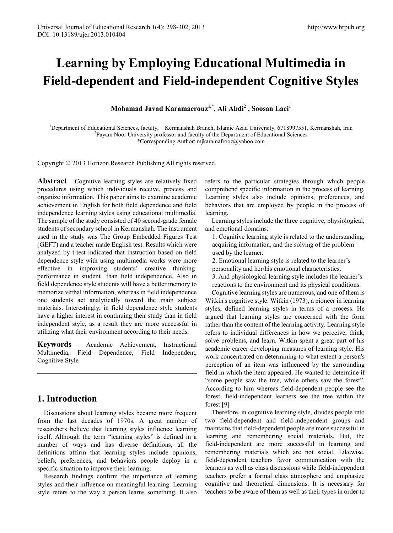# **Learning by Employing Educational Multimedia in Field-dependent and Field-independent Cognitive Styles**

**Mohamad Javad Karamaerouz1,\* , Ali Abdi<sup>2</sup> , Soosan Laei<sup>1</sup>**

<sup>1</sup>Department of Educational Sciences, faculty, Kermanshah Branch, Islamic Azad University, 6718997551, Kermanshah, Iran <sup>2</sup>Payam Noor University professor and faculty of the Department of Educational Sciences Payam Noor University professor and faculty of the Department of Educational Sciences \*Corresponding Author: mjkaramafrooz@yahoo.com

Copyright © 2013 Horizon Research Publishing All rights reserved.

**Abstract** Cognitive learning styles are relatively fixed procedures using which individuals receive, process and organize information. This paper aims to examine academic achievement in English for both field dependence and field independence learning styles using educational multimedia. The sample of the study consisted of 40 second-grade female students of secondary school in Kermanshah. The instrument used in the study was The Group Embedded Figures Test (GEFT) and a teacher made English test. Results which were analyzed by t-test indicated that instruction based on field dependence style with using multimedia works were more effective in improving students' creative thinking performance in student than field independence. Also in field dependence style students will have a better memory to memorize verbal information, whereas in field independence one students act analytically toward the main subject materials. Interestingly, in field dependence style students have a higher interest in continuing their study than in field independent style, as a result they are more successful in utilizing what their environment according to their needs.

**Keywords** Academic Achievement, Instructional Multimedia, Field Dependence, Field Independent, Cognitive Style

# **1. Introduction**

Discussions about learning styles became more frequent from the last decades of 1970s. A great number of researchers believe that learning styles influence learning itself. Although the term "learning styles" is defined in a number of ways and has diverse definitions, all the definitions affirm that learning styles include opinions, beliefs, preferences, and behaviors people deploy in a specific situation to improve their learning.

Research findings confirm the importance of learning styles and their influence on meaningful learning. Learning style refers to the way a person learns something. It also

refers to the particular strategies through which people comprehend specific information in the process of learning. Learning styles also include opinions, preferences, and behaviors that are employed by people in the process of learning.

Learning styles include the three cognitive, physiological, and emotional domains:

1. Cognitive learning style is related to the understanding, acquiring information, and the solving of the problem used by the learner.

2. Emotional learning style is related to the learner's personality and her/his emotional characteristics.

3. And physiological learning style includes the learner's reactions to the environment and its physical conditions.

Cognitive learning styles are numerous, and one of them is Witkin's cognitive style. Witkin (1973), a pioneer in learning styles, defined learning styles in terms of a process. He argued that learning styles are concerned with the form rather than the content of the learning activity. Learning style refers to individual differences in how we perceive, think, solve problems, and learn. Witkin spent a great part of his academic career developing measures of learning style. His work concentrated on determining to what extent a person's perception of an item was influenced by the surrounding field in which the item appeared. He wanted to determine if "some people saw the tree, while others saw the forest". According to him whereas field-dependent people see the forest, field-independent learners see the tree within the forest.[9]

Therefore, in cognitive learning style, divides people into two field-dependent and field-independent groups and maintains that field-dependent people are more successful in learning and remembering social materials. But, the field-independent are more successful in learning and remembering materials which are not social. Likewise, field-dependent teachers favor communication with the learners as well as class discussions while field-independent teachers prefer a formal class atmosphere and emphasize cognitive and theoretical dimensions. It is necessary for teachers to be aware of them as well as their types in order to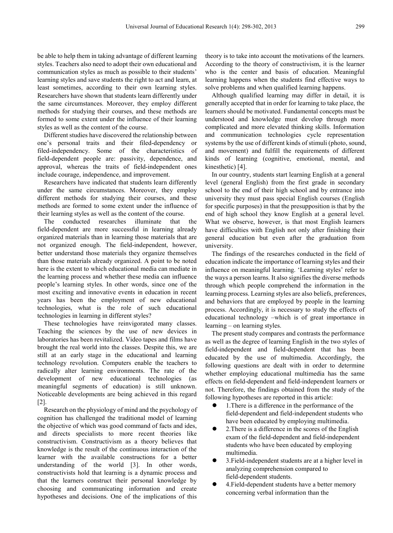be able to help them in taking advantage of different learning styles. Teachers also need to adopt their own educational and communication styles as much as possible to their students' learning styles and save students the right to act and learn, at least sometimes, according to their own learning styles. Researchers have shown that students learn differently under the same circumstances. Moreover, they employ different methods for studying their courses, and these methods are formed to some extent under the influence of their learning styles as well as the content of the course.

Different studies have discovered the relationship between one's personal traits and their filed-dependency or filed-independency. Some of the characteristics of field-dependent people are: passivity, dependence, and approval, whereas the traits of field-independent ones include courage, independence, and improvement.

Researchers have indicated that students learn differently under the same circumstances. Moreover, they employ different methods for studying their courses, and these methods are formed to some extent under the influence of their learning styles as well as the content of the course.

The conducted researches illuminate that the field-dependent are more successful in learning already organized materials than in learning those materials that are not organized enough. The field-independent, however, better understand those materials they organize themselves than those materials already organized. A point to be noted here is the extent to which educational media can mediate in the learning process and whether these media can influence people's learning styles. In other words, since one of the most exciting and innovative events in education in recent years has been the employment of new educational technologies, what is the role of such educational technologies in learning in different styles?

These technologies have reinvigorated many classes. Teaching the sciences by the use of new devices in laboratories has been revitalized. Video tapes and films have brought the real world into the classes. Despite this, we are still at an early stage in the educational and learning technology revolution. Computers enable the teachers to radically alter learning environments. The rate of the development of new educational technologies (as meaningful segments of education) is still unknown. Noticeable developments are being achieved in this regard [2].

Research on the physiology of mind and the psychology of cognition has challenged the traditional model of learning the objective of which was good command of facts and ides, and directs specialists to more recent theories like constructivism. Constructivism as a theory believes that knowledge is the result of the continuous interaction of the learner with the available constructions for a better understanding of the world [3]. In other words, constructivists hold that learning is a dynamic process and that the learners construct their personal knowledge by choosing and communicating information and create hypotheses and decisions. One of the implications of this theory is to take into account the motivations of the learners. According to the theory of constructivism, it is the learner who is the center and basis of education. Meaningful learning happens when the students find effective ways to solve problems and when qualified learning happens.

Although qualified learning may differ in detail, it is generally accepted that in order for learning to take place, the learners should be motivated. Fundamental concepts must be understood and knowledge must develop through more complicated and more elevated thinking skills. Information and communication technologies cycle representation systems by the use of different kinds of stimuli (photo, sound, and movement) and fulfill the requirements of different kinds of learning (cognitive, emotional, mental, and kinesthetic) [4].

In our country, students start learning English at a general level (general English) from the first grade in secondary school to the end of their high school and by entrance into university they must pass special English courses (English for specific purposes) in that the presupposition is that by the end of high school they know English at a general level. What we observe, however, is that most English learners have difficulties with English not only after finishing their general education but even after the graduation from university.

The findings of the researches conducted in the field of education indicate the importance of learning styles and their influence on meaningful learning. 'Learning styles' refer to the ways a person learns. It also signifies the diverse methods through which people comprehend the information in the learning process. Learning styles are also beliefs, preferences, and behaviors that are employed by people in the learning process. Accordingly, it is necessary to study the effects of educational technology –which is of great importance in learning – on learning styles.

The present study compares and contrasts the performance as well as the degree of learning English in the two styles of field-independent and field-dependent that has been educated by the use of multimedia. Accordingly, the following questions are dealt with in order to determine whether employing educational multimedia has the same effects on field-dependent and field-independent learners or not. Therefore, the findings obtained from the study of the following hypotheses are reported in this article:

- 1.There is a difference in the performance of the field-dependent and field-independent students who have been educated by employing multimedia.
- 2.There is a difference in the scores of the English exam of the field-dependent and field-independent students who have been educated by employing multimedia.
- 3.Field-independent students are at a higher level in analyzing comprehension compared to field-dependent students.
- 4.Field-dependent students have a better memory concerning verbal information than the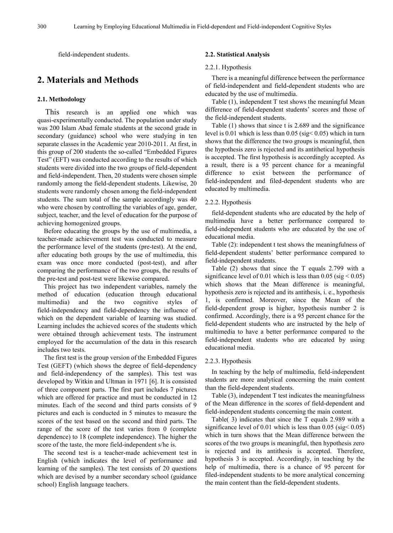field-independent students.

# **2. Materials and Methods**

#### **2.1. Methodology**

This research is an applied one which was quasi-experimentally conducted. The population under study was 200 Islam Abad female students at the second grade in secondary (guidance) school who were studying in ten separate classes in the Academic year 2010-2011. At first, in this group of 200 students the so-called "Embedded Figures Test" (EFT) was conducted according to the results of which students were divided into the two groups of field-dependent and field-independent. Then, 20 students were chosen simple randomly among the field-dependent students. Likewise, 20 students were randomly chosen among the field-independent students. The sum total of the sample accordingly was 40 who were chosen by controlling the variables of age, gender, subject, teacher, and the level of education for the purpose of achieving homogenized groups.

Before educating the groups by the use of multimedia, a teacher-made achievement test was conducted to measure the performance level of the students (pre-test). At the end, after educating both groups by the use of multimedia, this exam was once more conducted (post-test), and after comparing the performance of the two groups, the results of the pre-test and post-test were likewise compared.

This project has two independent variables, namely the method of education (education through educational multimedia) and the two cognitive styles of field-independency and field-dependency the influence of which on the dependent variable of learning was studied. Learning includes the achieved scores of the students which were obtained through achievement tests. The instrument employed for the accumulation of the data in this research includes two tests.

The first test is the group version of the Embedded Figures Test (GEFT) (which shows the degree of field-dependency and field-independency of the samples). This test was developed by Witkin and Ultman in 1971 [6]. It is consisted of three component parts. The first part includes 7 pictures which are offered for practice and must be conducted in 12 minutes. Each of the second and third parts consists of 9 pictures and each is conducted in 5 minutes to measure the scores of the test based on the second and third parts. The range of the score of the test varies from 0 (complete dependence) to 18 (complete independence). The higher the score of the taste, the more field-independent s/he is.

The second test is a teacher-made achievement test in English (which indicates the level of performance and learning of the samples). The test consists of 20 questions which are devised by a number secondary school (guidance school) English language teachers.

#### **2.2. Statistical Analysis**

#### 2.2.1. Hypothesis

There is a meaningful difference between the performance of field-independent and field-dependent students who are educated by the use of multimedia.

Table (1), independent T test shows the meaningful Mean difference of field-dependent students' scores and those of the field-independent students.

Table (1) shows that since t is 2.689 and the significance level is  $0.01$  which is less than  $0.05$  (sig <  $0.05$ ) which in turn shows that the difference the two groups is meaningful, then the hypothesis zero is rejected and its antithetical hypothesis is accepted. The first hypothesis is accordingly accepted. As a result, there is a 95 percent chance for a meaningful difference to exist between the performance of field-independent and filed-dependent students who are educated by multimedia.

#### 2.2.2. Hypothesis

field-dependent students who are educated by the help of multimedia have a better performance compared to field-independent students who are educated by the use of educational media.

Table (2): independent t test shows the meaningfulness of field-dependent students' better performance compared to field-independent students.

Table (2) shows that since the T equals 2.799 with a significance level of 0.01 which is less than 0.05 (sig  $< 0.05$ ) which shows that the Mean difference is meaningful, hypothesis zero is rejected and its antithesis, i. e., hypothesis 1, is confirmed. Moreover, since the Mean of the field-dependent group is higher, hypothesis number 2 is confirmed. Accordingly, there is a 95 percent chance for the field-dependent students who are instructed by the help of multimedia to have a better performance compared to the field-independent students who are educated by using educational media.

#### 2.2.3. Hypothesis

In teaching by the help of multimedia, field-independent students are more analytical concerning the main content than the field-dependent students.

Table (3), independent T test indicates the meaningfulness of the Mean difference in the scores of field-dependent and field-independent students concerning the main content.

Table( 3) indicates that since the T equals 2.989 with a significance level of 0.01 which is less than 0.05 (sig < 0.05) which in turn shows that the Mean difference between the scores of the two groups is meaningful, then hypothesis zero is rejected and its antithesis is accepted. Therefore, hypothesis 3 is accepted. Accordingly, in teaching by the help of multimedia, there is a chance of 95 percent for filed-independent students to be more analytical concerning the main content than the field-dependent students.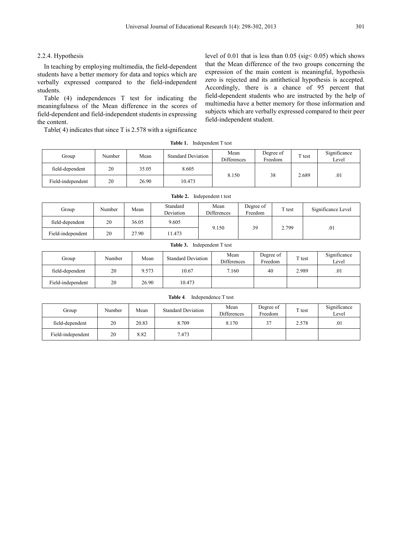#### 2.2.4. Hypothesis

In teaching by employing multimedia, the field-dependent students have a better memory for data and topics which are verbally expressed compared to the field-independent students.

Table (4) independences T test for indicating the meaningfulness of the Mean difference in the scores of field-dependent and field-independent students in expressing the content.

Table( 4) indicates that since T is 2.578 with a significance

level of 0.01 that is less than 0.05 (sig< 0.05) which shows that the Mean difference of the two groups concerning the expression of the main content is meaningful, hypothesis zero is rejected and its antithetical hypothesis is accepted. Accordingly, there is a chance of 95 percent that field-dependent students who are instructed by the help of multimedia have a better memory for those information and subjects which are verbally expressed compared to their peer field-independent student.

| Group             | Number | Mean  | <b>Standard Deviation</b> | Mean<br><b>Differences</b> | Degree of<br>Freedom | $\mathbf{T}$ test | Significance<br>Level |
|-------------------|--------|-------|---------------------------|----------------------------|----------------------|-------------------|-----------------------|
| field-dependent   | 20     | 35.05 | 8.605                     |                            | 38<br>2.689          |                   | .01                   |
| Field-independent | 20     | 26.90 | 10.473                    | 8.150                      |                      |                   |                       |

**Table 1.** Independent T test

| Group             | Number | Mean  | Standard<br>Deviation | Mean<br><b>Differences</b> | Degree of<br>Freedom | $T$ test | Significance Level |
|-------------------|--------|-------|-----------------------|----------------------------|----------------------|----------|--------------------|
| field-dependent   | 20     | 36.05 | 9.605                 |                            |                      |          | .01                |
| Field-independent | 20     | 27.90 | 11.473                | 9.150                      | 39                   | 2.799    |                    |

**Table 2.** Independent t test

| Group             | Number | Mean  | <b>Standard Deviation</b> | Mean<br><b>Differences</b> | Degree of<br>Freedom | $T$ test | Significance<br>Level |
|-------------------|--------|-------|---------------------------|----------------------------|----------------------|----------|-----------------------|
| field-dependent   | 20     | 9.573 | 10.67                     | 7.160                      | 40                   | 2.989    | .01                   |
| Field-independent | 20     | 26.90 | 10.473                    |                            |                      |          |                       |

| Group             | Number | Mean  | <b>Standard Deviation</b> | Mean<br><b>Differences</b> | Degree of<br>Freedom | $T$ test | Significance<br>Level |
|-------------------|--------|-------|---------------------------|----------------------------|----------------------|----------|-----------------------|
| field-dependent   | 20     | 20.83 | 8.709                     | 8.170                      | 37                   | 2.578    | .01                   |
| Field-independent | 20     | 8.82  | 7.473                     |                            |                      |          |                       |

# **Table 3.** Independent T test

### **Table 4**. Independence T test